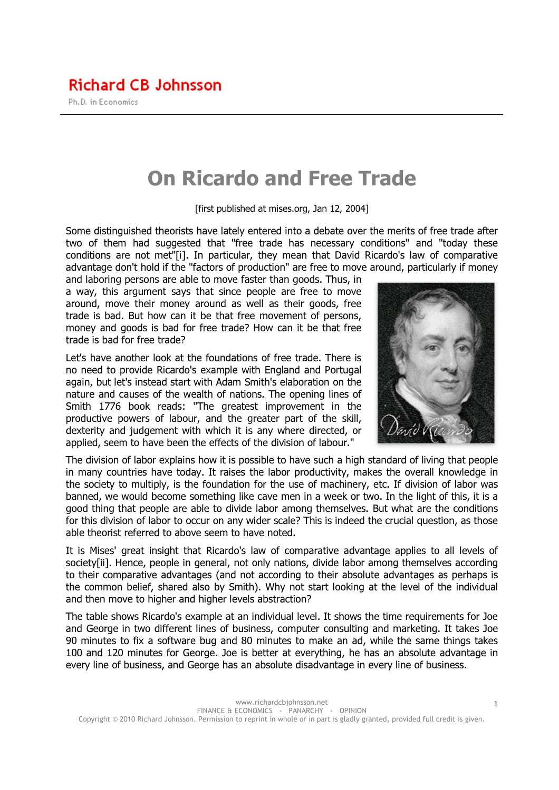# On Ricardo and Free Trade

[first published at mises.org, Jan 12, 2004]

Some distinguished theorists have lately entered into a debate over the merits of free trade after two of them had suggested that "free trade has necessary conditions" and "today these conditions are not met"[i]. In particular, they mean that David Ricardo's law of comparative advantage don't hold if the "factors of production" are free to move around, particularly if money

and laboring persons are able to move faster than goods. Thus, in a way, this argument says that since people are free to move around, move their money around as well as their goods, free trade is bad. But how can it be that free movement of persons, money and goods is bad for free trade? How can it be that free trade is bad for free trade?

Let's have another look at the foundations of free trade. There is no need to provide Ricardo's example with England and Portugal again, but let's instead start with Adam Smith's elaboration on the nature and causes of the wealth of nations. The opening lines of Smith 1776 book reads: "The greatest improvement in the productive powers of labour, and the greater part of the skill, dexterity and judgement with which it is any where directed, or applied, seem to have been the effects of the division of labour."



The division of labor explains how it is possible to have such a high standard of living that people in many countries have today. It raises the labor productivity, makes the overall knowledge in the society to multiply, is the foundation for the use of machinery, etc. If division of labor was banned, we would become something like cave men in a week or two. In the light of this, it is a good thing that people are able to divide labor among themselves. But what are the conditions for this division of labor to occur on any wider scale? This is indeed the crucial question, as those able theorist referred to above seem to have noted.

It is Mises' great insight that Ricardo's law of comparative advantage applies to all levels of society[ii]. Hence, people in general, not only nations, divide labor among themselves according to their comparative advantages (and not according to their absolute advantages as perhaps is the common belief, shared also by Smith). Why not start looking at the level of the individual and then move to higher and higher levels abstraction?

The table shows Ricardo's example at an individual level. It shows the time requirements for Joe and George in two different lines of business, computer consulting and marketing. It takes Joe 90 minutes to fix a software bug and 80 minutes to make an ad, while the same things takes 100 and 120 minutes for George. Joe is better at everything, he has an absolute advantage in every line of business, and George has an absolute disadvantage in every line of business.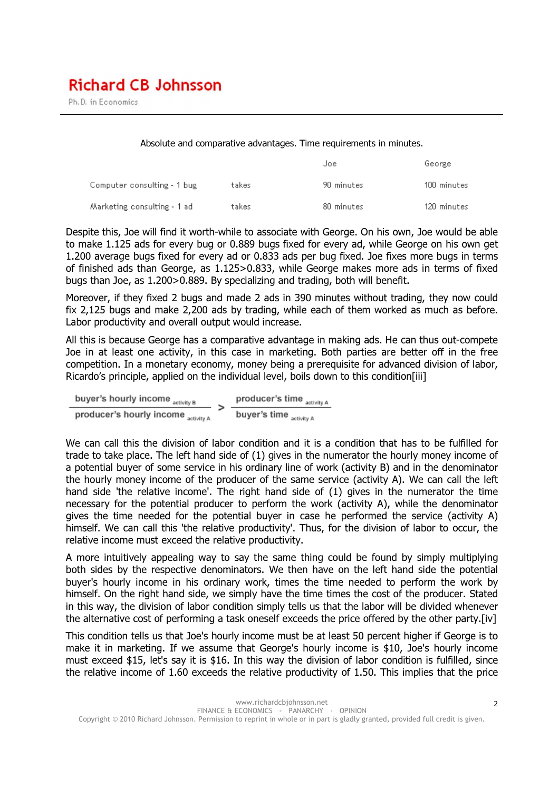Ph.D. in Economics

Absolute and comparative advantages. Time requirements in minutes.

|                             |       | Joe        | George      |
|-----------------------------|-------|------------|-------------|
| Computer consulting - 1 bug | takes | 90 minutes | 100 minutes |
| Marketing consulting - 1 ad | takes | 80 minutes | 120 minutes |

Despite this, Joe will find it worth-while to associate with George. On his own, Joe would be able to make 1.125 ads for every bug or 0.889 bugs fixed for every ad, while George on his own get 1.200 average bugs fixed for every ad or 0.833 ads per bug fixed. Joe fixes more bugs in terms of finished ads than George, as 1.125>0.833, while George makes more ads in terms of fixed bugs than Joe, as 1.200>0.889. By specializing and trading, both will benefit.

Moreover, if they fixed 2 bugs and made 2 ads in 390 minutes without trading, they now could fix 2,125 bugs and make 2,200 ads by trading, while each of them worked as much as before. Labor productivity and overall output would increase.

All this is because George has a comparative advantage in making ads. He can thus out-compete Joe in at least one activity, in this case in marketing. Both parties are better off in the free competition. In a monetary economy, money being a prerequisite for advanced division of labor, Ricardo's principle, applied on the individual level, boils down to this condition[iii]

buyer's hourly income  $_{\rm activity\,B}$ producer's time activity A producer's hourly income activity A buyer's time activity A

We can call this the division of labor condition and it is a condition that has to be fulfilled for trade to take place. The left hand side of (1) gives in the numerator the hourly money income of a potential buyer of some service in his ordinary line of work (activity B) and in the denominator the hourly money income of the producer of the same service (activity A). We can call the left hand side 'the relative income'. The right hand side of (1) gives in the numerator the time necessary for the potential producer to perform the work (activity A), while the denominator gives the time needed for the potential buyer in case he performed the service (activity A) himself. We can call this 'the relative productivity'. Thus, for the division of labor to occur, the relative income must exceed the relative productivity.

A more intuitively appealing way to say the same thing could be found by simply multiplying both sides by the respective denominators. We then have on the left hand side the potential buyer's hourly income in his ordinary work, times the time needed to perform the work by himself. On the right hand side, we simply have the time times the cost of the producer. Stated in this way, the division of labor condition simply tells us that the labor will be divided whenever the alternative cost of performing a task oneself exceeds the price offered by the other party.[iv]

This condition tells us that Joe's hourly income must be at least 50 percent higher if George is to make it in marketing. If we assume that George's hourly income is \$10, Joe's hourly income must exceed \$15, let's say it is \$16. In this way the division of labor condition is fulfilled, since the relative income of 1.60 exceeds the relative productivity of 1.50. This implies that the price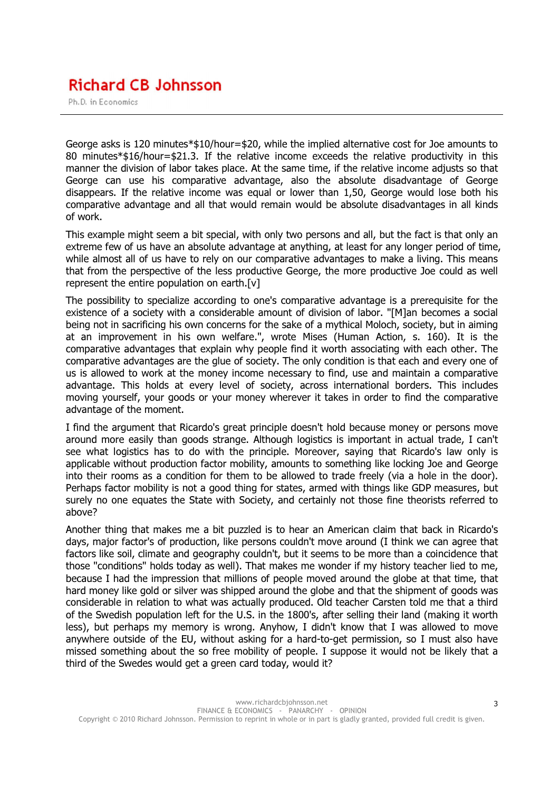## **Richard CB Johnsson**

Ph.D. in Economics

George asks is 120 minutes\*\$10/hour=\$20, while the implied alternative cost for Joe amounts to 80 minutes\*\$16/hour=\$21.3. If the relative income exceeds the relative productivity in this manner the division of labor takes place. At the same time, if the relative income adjusts so that George can use his comparative advantage, also the absolute disadvantage of George disappears. If the relative income was equal or lower than 1,50, George would lose both his comparative advantage and all that would remain would be absolute disadvantages in all kinds of work.

This example might seem a bit special, with only two persons and all, but the fact is that only an extreme few of us have an absolute advantage at anything, at least for any longer period of time, while almost all of us have to rely on our comparative advantages to make a living. This means that from the perspective of the less productive George, the more productive Joe could as well represent the entire population on earth.[v]

The possibility to specialize according to one's comparative advantage is a prerequisite for the existence of a society with a considerable amount of division of labor. "[M]an becomes a social being not in sacrificing his own concerns for the sake of a mythical Moloch, society, but in aiming at an improvement in his own welfare.", wrote Mises (Human Action, s. 160). It is the comparative advantages that explain why people find it worth associating with each other. The comparative advantages are the glue of society. The only condition is that each and every one of us is allowed to work at the money income necessary to find, use and maintain a comparative advantage. This holds at every level of society, across international borders. This includes moving yourself, your goods or your money wherever it takes in order to find the comparative advantage of the moment.

I find the argument that Ricardo's great principle doesn't hold because money or persons move around more easily than goods strange. Although logistics is important in actual trade, I can't see what logistics has to do with the principle. Moreover, saying that Ricardo's law only is applicable without production factor mobility, amounts to something like locking Joe and George into their rooms as a condition for them to be allowed to trade freely (via a hole in the door). Perhaps factor mobility is not a good thing for states, armed with things like GDP measures, but surely no one equates the State with Society, and certainly not those fine theorists referred to above?

Another thing that makes me a bit puzzled is to hear an American claim that back in Ricardo's days, major factor's of production, like persons couldn't move around (I think we can agree that factors like soil, climate and geography couldn't, but it seems to be more than a coincidence that those "conditions" holds today as well). That makes me wonder if my history teacher lied to me, because I had the impression that millions of people moved around the globe at that time, that hard money like gold or silver was shipped around the globe and that the shipment of goods was considerable in relation to what was actually produced. Old teacher Carsten told me that a third of the Swedish population left for the U.S. in the 1800's, after selling their land (making it worth less), but perhaps my memory is wrong. Anyhow, I didn't know that I was allowed to move anywhere outside of the EU, without asking for a hard-to-get permission, so I must also have missed something about the so free mobility of people. I suppose it would not be likely that a third of the Swedes would get a green card today, would it?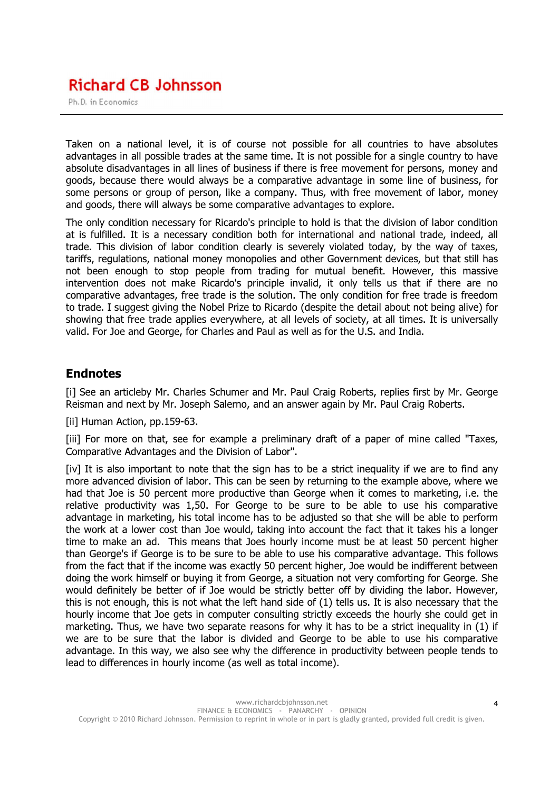## **Richard CB Johnsson**

Ph.D. in Economics

Taken on a national level, it is of course not possible for all countries to have absolutes advantages in all possible trades at the same time. It is not possible for a single country to have absolute disadvantages in all lines of business if there is free movement for persons, money and goods, because there would always be a comparative advantage in some line of business, for some persons or group of person, like a company. Thus, with free movement of labor, money and goods, there will always be some comparative advantages to explore.

The only condition necessary for Ricardo's principle to hold is that the division of labor condition at is fulfilled. It is a necessary condition both for international and national trade, indeed, all trade. This division of labor condition clearly is severely violated today, by the way of taxes, tariffs, regulations, national money monopolies and other Government devices, but that still has not been enough to stop people from trading for mutual benefit. However, this massive intervention does not make Ricardo's principle invalid, it only tells us that if there are no comparative advantages, free trade is the solution. The only condition for free trade is freedom to trade. I suggest giving the Nobel Prize to Ricardo (despite the detail about not being alive) for showing that free trade applies everywhere, at all levels of society, at all times. It is universally valid. For Joe and George, for Charles and Paul as well as for the U.S. and India.

#### Endnotes

[i] See an articleby Mr. Charles Schumer and Mr. Paul Craig Roberts, replies first by Mr. George Reisman and next by Mr. Joseph Salerno, and an answer again by Mr. Paul Craig Roberts.

[ii] Human Action, pp.159-63.

[iii] For more on that, see for example a preliminary draft of a paper of mine called "Taxes, Comparative Advantages and the Division of Labor".

[iv] It is also important to note that the sign has to be a strict inequality if we are to find any more advanced division of labor. This can be seen by returning to the example above, where we had that Joe is 50 percent more productive than George when it comes to marketing, i.e. the relative productivity was 1,50. For George to be sure to be able to use his comparative advantage in marketing, his total income has to be adjusted so that she will be able to perform the work at a lower cost than Joe would, taking into account the fact that it takes his a longer time to make an ad. This means that Joes hourly income must be at least 50 percent higher than George's if George is to be sure to be able to use his comparative advantage. This follows from the fact that if the income was exactly 50 percent higher, Joe would be indifferent between doing the work himself or buying it from George, a situation not very comforting for George. She would definitely be better of if Joe would be strictly better off by dividing the labor. However, this is not enough, this is not what the left hand side of (1) tells us. It is also necessary that the hourly income that Joe gets in computer consulting strictly exceeds the hourly she could get in marketing. Thus, we have two separate reasons for why it has to be a strict inequality in (1) if we are to be sure that the labor is divided and George to be able to use his comparative advantage. In this way, we also see why the difference in productivity between people tends to lead to differences in hourly income (as well as total income).